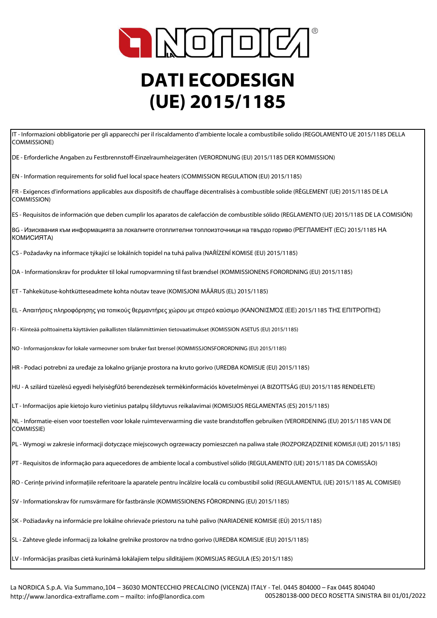

## **DATI ECODESIGN (UE) 2015/1185**

IT - Informazioni obbligatorie per gli apparecchi per il riscaldamento d'ambiente locale a combustibile solido (REGOLAMENTO UE 2015/1185 DELLA COMMISSIONE)

DE - Erforderliche Angaben zu Festbrennstoff-Einzelraumheizgeräten (VERORDNUNG (EU) 2015/1185 DER KOMMISSION)

EN - Information requirements for solid fuel local space heaters (COMMISSION REGULATION (EU) 2015/1185)

FR - Exigences d'informations applicables aux dispositifs de chauffage décentralisés à combustible solide (RÈGLEMENT (UE) 2015/1185 DE LA COMMISSION)

ES - Requisitos de información que deben cumplir los aparatos de calefacción de combustible sólido (REGLAMENTO (UE) 2015/1185 DE LA COMISIÓN)

BG - Изисквания към информацията за локалните отоплителни топлоизточници на твърдо гориво (РЕГЛАМЕНТ (ЕС) 2015/1185 НА КОМИСИЯТА)

CS - Požadavky na informace týkající se lokálních topidel na tuhá paliva (NAŘÍZENÍ KOMISE (EU) 2015/1185)

DA - Informationskrav for produkter til lokal rumopvarmning til fast brændsel (KOMMISSIONENS FORORDNING (EU) 2015/1185)

ET - Tahkekütuse-kohtkütteseadmete kohta nõutav teave (KOMISJONI MÄÄRUS (EL) 2015/1185)

EL - Απαιτήσεις πληροφόρησης για τοπικούς θερμαντήρες χώρου με στερεό καύσιμο (ΚΑΝΟΝΙΣΜΌΣ (ΕΕ) 2015/1185 ΤΗΣ ΕΠΙΤΡΟΠΉΣ)

FI - Kiinteää polttoainetta käyttävien paikallisten tilalämmittimien tietovaatimukset (KOMISSION ASETUS (EU) 2015/1185)

NO - Informasjonskrav for lokale varmeovner som bruker fast brensel (KOMMISSJONSFORORDNING (EU) 2015/1185)

HR - Podaci potrebni za uređaje za lokalno grijanje prostora na kruto gorivo (UREDBA KOMISIJE (EU) 2015/1185)

HU - A szilárd tüzelésű egyedi helyiségfűtő berendezések termékinformációs követelményei (A BIZOTTSÁG (EU) 2015/1185 RENDELETE)

LT - Informacijos apie kietojo kuro vietinius patalpų šildytuvus reikalavimai (KOMISIJOS REGLAMENTAS (ES) 2015/1185)

NL - Informatie-eisen voor toestellen voor lokale ruimteverwarming die vaste brandstoffen gebruiken (VERORDENING (EU) 2015/1185 VAN DE COMMISSIE)

PL - Wymogi w zakresie informacji dotyczące miejscowych ogrzewaczy pomieszczeń na paliwa stałe (ROZPORZĄDZENIE KOMISJI (UE) 2015/1185)

PT - Requisitos de informação para aquecedores de ambiente local a combustível sólido (REGULAMENTO (UE) 2015/1185 DA COMISSÃO)

RO - Cerințe privind informațiile referitoare la aparatele pentru încălzire locală cu combustibil solid (REGULAMENTUL (UE) 2015/1185 AL COMISIEI)

SV - Informationskrav för rumsvärmare för fastbränsle (KOMMISSIONENS FÖRORDNING (EU) 2015/1185)

SK - Požiadavky na informácie pre lokálne ohrievače priestoru na tuhé palivo (NARIADENIE KOMISIE (EÚ) 2015/1185)

SL - Zahteve glede informacij za lokalne grelnike prostorov na trdno gorivo (UREDBA KOMISIJE (EU) 2015/1185)

LV - Informācijas prasības cietā kurināmā lokālajiem telpu sildītājiem (KOMISIJAS REGULA (ES) 2015/1185)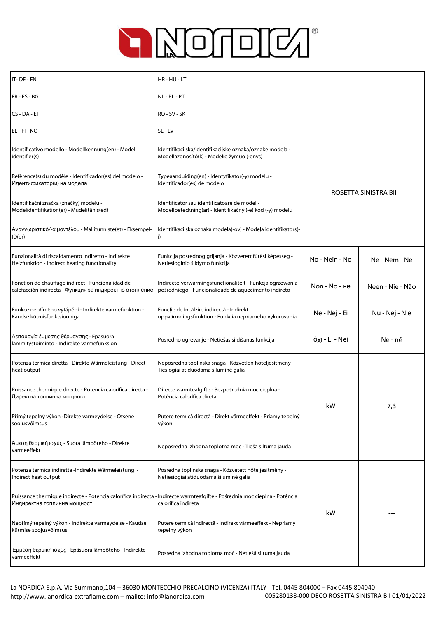

| IT-DE-EN                                                                                                                                                  | HR-HU-LT                                                                                                          |                      |                  |
|-----------------------------------------------------------------------------------------------------------------------------------------------------------|-------------------------------------------------------------------------------------------------------------------|----------------------|------------------|
| FR-ES-BG                                                                                                                                                  | NL-PL-PT                                                                                                          |                      |                  |
| CS-DA-ET                                                                                                                                                  | RO - SV - SK                                                                                                      |                      |                  |
| EL - FI - NO                                                                                                                                              | SL-LV                                                                                                             |                      |                  |
| Identificativo modello - Modellkennung(en) - Model<br>identifier(s)                                                                                       | Identifikacijska/identifikacijske oznaka/oznake modela -<br>Modellazonosító(k) - Modelio žymuo (-enys)            | ROSETTA SINISTRA BII |                  |
| Référence(s) du modèle - Identificador(es) del modelo -<br>Идентификатор(и) на модела                                                                     | Typeaanduiding(en) - Identyfikator(-y) modelu -<br>Identificador(es) de modelo                                    |                      |                  |
| Identifikační značka (značky) modelu -<br>Modelidentifikation(er) - Mudelitähis(ed)                                                                       | Identificator sau identificatoare de model -<br>Modellbeteckning(ar) - Identifikačný (-é) kód (-y) modelu         |                      |                  |
| Αναγνωριστικό/-ά μοντέλου - Mallitunniste(et) - Eksempel-<br>ID(er)                                                                                       | Identifikacijska oznaka modela(-ov) - Modeļa identifikators(-                                                     |                      |                  |
| Funzionalità di riscaldamento indiretto - Indirekte<br>Heizfunktion - Indirect heating functionality                                                      | Funkcija posrednog grijanja - Közvetett fűtési képesség -<br>Netiesioginio šildymo funkcija                       | No - Nein - No       | Ne - Nem - Ne    |
| Fonction de chauffage indirect - Funcionalidad de<br>calefacción indirecta - Функция за индиректно отопление                                              | Indirecte-verwarmingsfunctionaliteit - Funkcja ogrzewania<br>pośredniego - Funcionalidade de aquecimento indireto | Non - No - He        | Neen - Nie - Não |
| Funkce nepřímého vytápění - Indirekte varmefunktion -<br>Kaudse kütmisfunktsiooniga                                                                       | Funcție de încălzire indirectă - Indirekt<br>uppvärmningsfunktion - Funkcia nepriameho vykurovania                | Ne - Nej - Ei        | Nu - Nej - Nie   |
| Λειτουργία έμμεσης θέρμανσης - Epäsuora<br>lämmitystoiminto - Indirekte varmefunksjon                                                                     | Posredno ogrevanje - Netiešas sildīšanas funkcija                                                                 | όχι - Ei - Nei       | Ne - nē          |
| Potenza termica diretta - Direkte Wärmeleistung - Direct<br>heat output                                                                                   | Neposredna toplinska snaga - Közvetlen hőteljesítmény -<br>Tiesiogiai atiduodama šiluminė galia                   |                      | 7,3              |
| Puissance thermique directe - Potencia calorífica directa -<br>Директна топлинна мощност                                                                  | Directe warmteafgifte - Bezpośrednia moc cieplna -<br>Potência calorífica direta                                  | kW                   |                  |
| Přímý tepelný výkon -Direkte varmeydelse - Otsene<br>soojusvõimsus                                                                                        | Putere termică directă - Direkt värmeeffekt - Priamy tepelný<br>výkon                                             |                      |                  |
| Άμεση θερμική ισχύς - Suora lämpöteho - Direkte<br>varmeeffekt                                                                                            | Neposredna izhodna toplotna moč - Tiešā siltuma jauda                                                             |                      |                  |
| Potenza termica indiretta -Indirekte Wärmeleistung -<br>Indirect heat output                                                                              | Posredna toplinska snaga - Közvetett hőteljesítmény -<br>Netiesiogiai atiduodama šiluminė galia                   |                      |                  |
| Puissance thermique indirecte - Potencia calorífica indirecta - Indirecte warmteafgifte - Pośrednia moc cieplna - Potência<br>Индиректна топлинна мощност | calorífica indireta                                                                                               | kW                   |                  |
| Nepřímý tepelný výkon - Indirekte varmeydelse - Kaudse<br>kütmise soojusvõimsus                                                                           | Putere termică indirectă - Indirekt värmeeffekt - Nepriamy<br>tepelný výkon                                       |                      |                  |
| Έμμεση θερμική ισχύς - Epäsuora lämpöteho - Indirekte<br>varmeeffekt                                                                                      | Posredna izhodna toplotna moč - Netiešā siltuma jauda                                                             |                      |                  |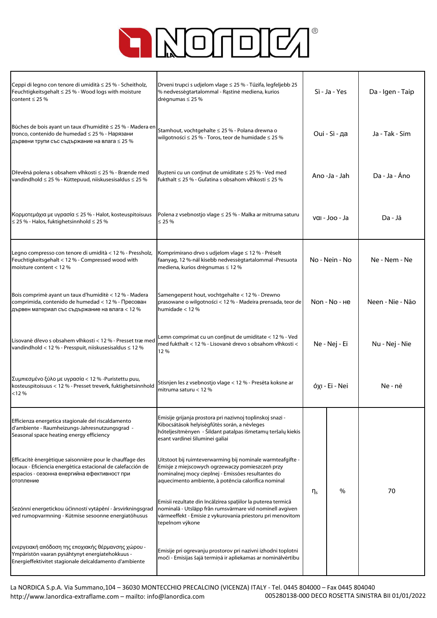

| Ceppi di legno con tenore di umidità ≤ 25 % - Scheitholz,<br>Feuchtigkeitsgehalt ≤ 25 % - Wood logs with moisture<br>content $\leq$ 25 %                                             | Drveni trupci s udjelom vlage ≤ 25 % - Tűzifa, legfeljebb 25<br>% nedvességtartalommal - Rastinė mediena, kurios<br>drėgnumas $\leq$ 25 %                                                                                   | Sì - Ja - Yes                                         |      | Da - Igen - Taip |
|--------------------------------------------------------------------------------------------------------------------------------------------------------------------------------------|-----------------------------------------------------------------------------------------------------------------------------------------------------------------------------------------------------------------------------|-------------------------------------------------------|------|------------------|
| Bûches de bois ayant un taux d'humidité ≤ 25 % - Madera en<br>tronco, contenido de humedad ≤ 25 % - Нарязани<br>дървени трупи със съдържание на влага ≤ 25 %                         | Stamhout, vochtgehalte ≤ 25 % - Polana drewna o<br>wilgotności ≤ 25 % - Toros, teor de humidade ≤ 25 %                                                                                                                      | Oui - Sì - да                                         |      | Ja - Tak - Sim   |
| Dřevěná polena s obsahem vlhkosti ≤ 25 % - Brænde med<br>vandindhold ≤ 25 % - Küttepuud, niiskusesisaldus ≤ 25 %                                                                     | Bușteni cu un conținut de umiditate ≤ 25 % - Ved med<br>fukthalt ≤ 25 % - Guľatina s obsahom vlhkosti ≤ 25 %                                                                                                                | Ano -Ja - Jah                                         |      | Da - Ja - Áno    |
| Κορμοτεμάχια με υγρασία ≤ 25 % - Halot, kosteuspitoisuus<br>$\leq$ 25 % - Halos, fuktighetsinnhold $\leq$ 25 %                                                                       | Polena z vsebnostjo vlage ≤ 25 % - Malka ar mitruma saturu<br>$\leq$ 25 %                                                                                                                                                   | $\mathsf{val}\text{-}\mathsf{loo}\text{-}\mathsf{Ja}$ |      | Da - Jā          |
| Legno compresso con tenore di umidità < 12 % - Pressholz,<br>Feuchtigkeitsgehalt < 12 % - Compressed wood with<br>moisture content $< 12$ %                                          | Komprimirano drvo s udjelom vlage ≤ 12 % - Préselt<br>faanyag, 12 %-nál kisebb nedvességtartalommal -Presuota<br>mediena, kurios drėgnumas ≤ 12 %                                                                           | No - Nein - No                                        |      | Ne - Nem - Ne    |
| Bois comprimé ayant un taux d'humidité < 12 % - Madera<br>comprimida, contenido de humedad < 12 % - Пресован<br>дървен материал със съдържание на влага < 12 %                       | Samengeperst hout, vochtgehalte < 12 % - Drewno<br>prasowane o wilgotności < 12 % - Madeira prensada, teor de<br>humidade $<$ 12 %                                                                                          | Non - No - He                                         |      | Neen - Nie - Não |
| Lisované dřevo s obsahem vlhkosti < 12 % - Presset træmed<br>vandindhold < 12 % - Presspuit, niiskusesisaldus ≤ 12 %                                                                 | Lemn comprimat cu un conținut de umiditate < 12 % - Ved<br>med fukthalt < 12 % - Lisované drevo s obsahom vlhkosti <<br>12%                                                                                                 | Ne - Nej - Ei                                         |      | Nu - Nej - Nie   |
| Συμπιεσμένο ξύλο με υγρασία < 12 % - Puristettu puu,<br>kosteuspitoisuus < 12 % - Presset treverk, fuktighetsinnhold<br>< 12%                                                        | Stisnjen les z vsebnostjo vlage < 12 % - Presēta koksne ar<br>mitruma saturu $< 12$ %                                                                                                                                       | όχι - Ei - Nei                                        |      | Ne - nē          |
| Efficienza energetica stagionale del riscaldamento<br>d'ambiente - Raumheizungs-Jahresnutzungsgrad -<br>Seasonal space heating energy efficiency                                     | Emisije grijanja prostora pri nazivnoj toplinskoj snazi -<br>Kibocsátások helyiségfűtés során, a névleges<br>hőteljesítményen - Šildant patalpas išmetamų teršalų kiekis<br>esant vardinei šiluminei galiai                 |                                                       |      |                  |
| Efficacité énergétique saisonnière pour le chauffage des<br>locaux - Eficiencia energética estacional de calefacción de<br>espacios - сезонна енергийна ефективност при<br>отопление | Uitstoot bij ruimteverwarming bij nominale warmteafgifte -<br>Emisje z miejscowych ogrzewaczy pomieszczeń przy<br>nominalnej mocy cieplnej - Emissões resultantes do<br>aquecimento ambiente, à potência calorífica nominal |                                                       |      |                  |
| Sezónní energetickou účinností vytápění - årsvirkningsgrad<br>ved rumopvarmning - Kütmise sesoonne energiatõhusus                                                                    | Emisii rezultate din încălzirea spațiilor la puterea termică<br>nominală - Utsläpp från rumsvärmare vid nominell avgiven<br>värmeeffekt - Emisie z vykurovania priestoru pri menovitom<br>tepelnom výkone                   | $\eta_s$                                              | $\%$ | 70               |
| ενεργειακή απόδοση της εποχιακής θέρμανσης χώρου -<br>Ympäristön vaaran pysähtynyt energiatehokkuus -<br>Energieffektivitet stagionale delcaldamento d'ambiente                      | Emisije pri ogrevanju prostorov pri nazivni izhodni toplotni<br>moči - Emisijas šajā termiņā ir apliekamas ar nominālvērtību                                                                                                |                                                       |      |                  |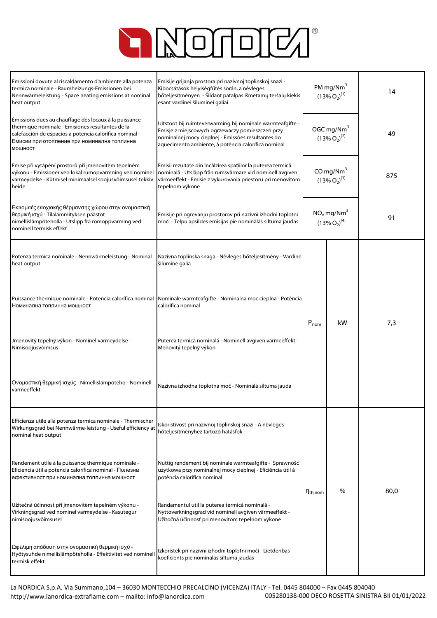

| Emissioni dovute al riscaldamento d'ambiente alla potenza<br>termica nominale - Raumheizungs-Emissionen bei<br>Nennwärmeleistung - Space heating emissions at nominal<br>heat output                                           | Emisije grijanja prostora pri nazivnoj toplinskoj snazi -<br>Kibocsátások helyiségfűtés során, a névleges<br>hőteljesítményen - Šildant patalpas išmetamų teršalų kiekis<br>esant vardinei šiluminei galiai                 | PM mg/Nm $3$<br>$(13\% O_2)^{(1)}$              |    | 14   |
|--------------------------------------------------------------------------------------------------------------------------------------------------------------------------------------------------------------------------------|-----------------------------------------------------------------------------------------------------------------------------------------------------------------------------------------------------------------------------|-------------------------------------------------|----|------|
| Émissions dues au chauffage des locaux à la puissance<br>thermique nominale - Emisiones resultantes de la<br>calefacción de espacios a potencia calorífica nominal -<br>Емисии при отопление при номинална топлинна<br>МОЩНОСТ | Uitstoot bij ruimteverwarming bij nominale warmteafgifte -<br>Emisje z miejscowych ogrzewaczy pomieszczeń przy<br>nominalnej mocy cieplnej - Emissões resultantes do<br>aquecimento ambiente, à potência calorífica nominal | OGC mg/Nm <sup>3</sup><br>$(13\% O_2)^{(2)}$    |    | 49   |
| Emise při vytápění prostorů při jmenovitém tepelném<br>výkonu - Emissioner ved lokal rumopvarmning ved nominel<br>varmeydelse - Kütmisel minimaalsel soojusvõimsusel tekkiv<br>heide                                           | Emisii rezultate din încălzirea spațiilor la puterea termică<br>nominală - Utsläpp från rumsvärmare vid nominell avgiven<br>värmeeffekt - Emisie z vykurovania priestoru pri menovitom<br>tepelnom výkone                   | CO mg/ $Nm3$<br>$(13\% O_2)^{(3)}$              |    | 875  |
| Εκπομπές εποχιακής θέρμανσης χώρου στην ονομαστική<br>θερμική ισχύ - Tilalämmityksen päästöt<br>nimellislämpöteholla - Utslipp fra romoppvarming ved<br>nominell termisk effekt                                                | Emisije pri ogrevanju prostorov pri nazivni izhodni toplotni<br>moči - Telpu apsildes emisijas pie nominālās siltuma jaudas                                                                                                 | $NO_x$ mg/Nm <sup>3</sup><br>$(13\% O_2)^{(4)}$ |    | 91   |
| Potenza termica nominale - Nennwärmeleistung - Nominal<br>heat output                                                                                                                                                          | Nazivna toplinska snaga - Névleges hőteljesítmény - Vardiné<br>šiluminė galia                                                                                                                                               |                                                 |    |      |
| Номинална топлинна мощност                                                                                                                                                                                                     | Puissance thermique nominale - Potencia calorífica nominal - Nominale warmteafgifte - Nominalna moc cieplna - Potência<br>calorífica nominal                                                                                | $P_{nom}$                                       | kW | 7,3  |
| Jmenovitý tepelný výkon - Nominel varmeydelse -<br>Nimisoojusvõimsus                                                                                                                                                           | Puterea termică nominală - Nominell avgiven värmeeffekt -<br>Menovitý tepelný výkon                                                                                                                                         |                                                 |    |      |
| Ονομαστική θερμική ισχύς - Nimellislämpöteho - Nominell<br>varmeeffekt                                                                                                                                                         | Nazivna izhodna toplotna moč - Nominālā siltuma jauda                                                                                                                                                                       |                                                 |    |      |
| Efficienza utile alla potenza termica nominale - Thermischer<br>Wirkungsgrad bei Nennwärme-leistung - Useful efficiency at<br>nominal heat output                                                                              | Iskoristivost pri nazivnoj toplinskoj snazi - A névleges<br>hőteljesítményhez tartozó hatásfok -                                                                                                                            |                                                 |    |      |
| Rendement utile à la puissance thermique nominale -<br>Eficiencia útil a potencia calorífica nominal - Полезна<br>ефективност при номинална топлинна мощност                                                                   | Nuttig rendement bij nominale warmteafgifte - Sprawność<br>użytkowa przy nominalnej mocy cieplnej - Eficiência útil à<br>potência calorífica nominal                                                                        |                                                 | %  | 80,0 |
| Užitečná účinnost při jmenovitém tepelném výkonu -<br>Virkningsgrad ved nominel varmeydelse - Kasutegur<br>nimisoojusvõimsusel                                                                                                 | Randamentul util la puterea termică nominală -<br>Nyttoverkningsgrad vid nominell avgiven värmeeffekt -<br>Užitočná účinnosť pri menovitom tepelnom výkone                                                                  | I Ith, nom                                      |    |      |
| Ωφέλιμη απόδοση στην ονομαστική θερμική ισχύ -<br>Hyötysuhde nimellislämpöteholla - Effektivitet ved nominell<br>termisk effekt                                                                                                | Izkoristek pri nazivni izhodni toplotni moči - Lietderības<br>koeficients pie nominālās siltuma jaudas                                                                                                                      |                                                 |    |      |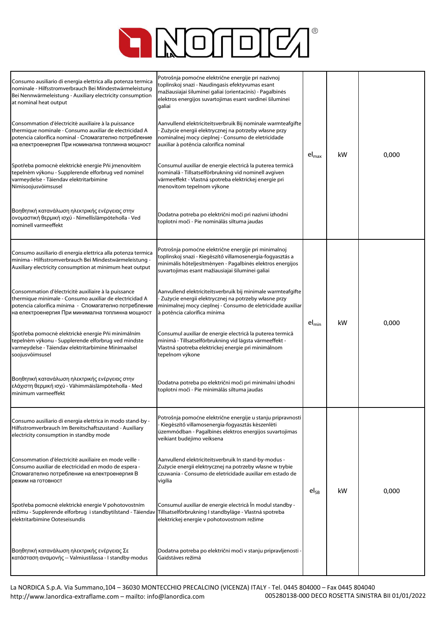

| Consumo ausiliario di energia elettrica alla potenza termica<br>nominale - Hilfsstromverbrauch Bei Mindestwärmeleistung<br>Bei Nennwärmeleistung - Auxiliary electricity consumption<br>at nominal heat output<br>Consommation d'électricité auxiliaire à la puissance<br>thermique nominale - Consumo auxiliar de electricidad A<br>potencia calorífica nominal - Спомагателно потребление<br>на електроенергия При номинална топлинна мощност<br>Spotřeba pomocné elektrické energie Pňi jmenovitém<br>tepelném výkonu - Supplerende elforbrug ved nominel<br>varmeydelse - Täiendav elektritarbimine<br>Nimisoojusvõimsusel<br>Βοηθητική κατανάλωση ηλεκτρικής ενέργειας στην<br>ονομαστική θερμική ισχύ - Nimellislämpöteholla - Ved<br>nominell varmeeffekt | Potrošnja pomoćne električne energije pri nazivnoj<br>toplinskoj snazi - Naudingasis efektyvumas esant<br>mažiausiajai šiluminei galiai (orientacinis) - Pagalbinės<br>elektros energijos suvartojimas esant vardinei šiluminei<br>galiai<br>Aanvullend elektriciteitsverbruik Bij nominale warmteafgifte<br>- Zużycie energii elektrycznej na potrzeby własne przy<br>nominalnej mocy cieplnej - Consumo de eletricidade<br>auxiliar à potência calorífica nominal<br>Consumul auxiliar de energie electrică la puterea termică<br>nominală - Tillsatselförbrukning vid nominell avgiven<br>värmeeffekt - Vlastná spotreba elektrickej energie pri<br>menovitom tepelnom výkone<br>Dodatna potreba po električni moči pri nazivni izhodni<br>toplotni moči - Pie nominālās siltuma jaudas | $el_{\text{max}}$ | kW | 0,000 |
|------------------------------------------------------------------------------------------------------------------------------------------------------------------------------------------------------------------------------------------------------------------------------------------------------------------------------------------------------------------------------------------------------------------------------------------------------------------------------------------------------------------------------------------------------------------------------------------------------------------------------------------------------------------------------------------------------------------------------------------------------------------|--------------------------------------------------------------------------------------------------------------------------------------------------------------------------------------------------------------------------------------------------------------------------------------------------------------------------------------------------------------------------------------------------------------------------------------------------------------------------------------------------------------------------------------------------------------------------------------------------------------------------------------------------------------------------------------------------------------------------------------------------------------------------------------------|-------------------|----|-------|
| Consumo ausiliario di energia elettrica alla potenza termica<br>minima - Hilfsstromverbrauch Bei Mindestwärmeleistung -<br>Auxiliary electricity consumption at minimum heat output<br>Consommation d'électricité auxiliaire à la puissance<br>thermique minimale - Consumo auxiliar de electricidad A<br>potencia calorífica mínima - Спомагателно потребление<br>на електроенергия При минимална топлинна мощност<br>Spotřeba pomocné elektrické energie Pňi minimálním<br>tepelném výkonu - Supplerende elforbrug ved mindste<br>varmeydelse - Täiendav elektritarbimine Minimaalsel<br>soojusvõimsusel<br>Βοηθητική κατανάλωση ηλεκτρικής ενέργειας στην<br>ελάχιστη θερμική ισχύ - Vähimmäislämpöteholla - Med<br>minimum varmeeffekt                       | Potrošnja pomoćne električne energije pri minimalnoj<br>toplinskoj snazi - Kiegészítő villamosenergia-fogyasztás a<br>minimális hőteljesítményen - Pagalbinės elektros energijos<br>suvartojimas esant mažiausiajai šiluminei galiai<br>Aanvullend elektriciteitsverbruik bij minimale warmteafgifte<br>- Zużycie energii elektrycznej na potrzeby własne przy<br>minimalnej mocy cieplnej - Consumo de eletricidade auxiliar<br>à potência calorífica mínima<br>Consumul auxiliar de energie electrică la puterea termică<br>minimă - Tillsatselförbrukning vid lägsta värmeeffekt -<br>Vlastná spotreba elektrickej energie pri minimálnom<br>tepelnom výkone<br>Dodatna potreba po električni moči pri minimalni izhodni<br>toplotni moči - Pie minimālās siltuma jaudas                | $el_{min}$        | kW | 0,000 |
| Consumo ausiliario di energia elettrica in modo stand-by -<br>Hilfsstromverbrauch Im Bereitschaftszustand - Auxiliary<br>electricity consumption in standby mode<br>Consommation d'électricité auxiliaire en mode veille -<br>Consumo auxiliar de electricidad en modo de espera -<br>Спомагателно потребление на електроенергия В<br>режим на готовност<br>Spotřeba pomocné elektrické energie V pohotovostním<br>režimu - Supplerende elforbrug i standbytilstand - Täiendav<br>elektritarbimine Ooteseisundis<br>Βοηθητική κατανάλωση ηλεκτρικής ενέργειας Σε<br>κατάσταση αναμονής -- Valmiustilassa - I standby-modus                                                                                                                                       | Potrošnja pomoćne električne energije u stanju pripravnosti<br>Kiegészítő villamosenergia-fogyasztás készenléti<br>üzemmódban - Pagalbinės elektros energijos suvartojimas<br>veikiant budėjimo veiksena<br>Aanvullend elektriciteitsverbruik In stand-by-modus -<br>Zużycie energii elektrycznej na potrzeby własne w trybie<br>czuwania - Consumo de eletricidade auxiliar em estado de<br>vigília<br>Consumul auxiliar de energie electrică În modul standby -<br>Tillsatselförbrukning I standbyläge - Vlastná spotreba<br>elektrickej energie v pohotovostnom režime<br>Dodatna potreba po električni moči v stanju pripravljenosti<br>Gaidstāves režīmā                                                                                                                              | $el_{SR}$         | kW | 0,000 |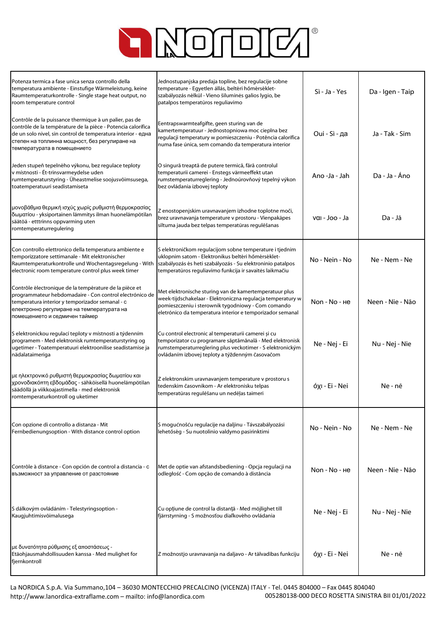

| Potenza termica a fase unica senza controllo della<br>temperatura ambiente - Einstufige Wärmeleistung, keine<br>Raumtemperaturkontrolle - Single stage heat output, no<br>room temperature control                                                                     | Jednostupanjska predaja topline, bez regulacije sobne<br>temperature - Egyetlen állás, beltéri hőmérséklet-<br>szabályozás nélkül - Vieno šiluminės galios lygio, be<br>patalpos temperatūros reguliavimo                                | Sì - Ja - Yes  | Da - Igen - Taip |
|------------------------------------------------------------------------------------------------------------------------------------------------------------------------------------------------------------------------------------------------------------------------|------------------------------------------------------------------------------------------------------------------------------------------------------------------------------------------------------------------------------------------|----------------|------------------|
| Contrôle de la puissance thermique à un palier, pas de<br>contrôle de la température de la pièce - Potencia calorífica<br>de un solo nivel, sin control de temperatura interior - една<br>степен на топлинна мощност, без регулиране на<br>температурата в помещението | Eentrapswarmteafgifte, geen sturing van de<br>kamertemperatuur - Jednostopniowa moc cieplna bez<br>regulacji temperatury w pomieszczeniu - Potência calorífica<br>numa fase única, sem comando da temperatura interior                   | Oui - Sì - да  | Ja - Tak - Sim   |
| Jeden stupeň tepelného výkonu, bez regulace teploty<br>v místnosti - Ét-trinsvarmeydelse uden<br>rumtemperaturstyring - Üheastmelise soojusvõimsusega,<br>toatemperatuuri seadistamiseta                                                                               | O singură treaptă de putere termică, fără controlul<br>temperaturii camerei - Enstegs värmeeffekt utan<br>rumstemperaturreglering - Jednoúrovňový tepelný výkon<br>bez ovládania izbovej teploty                                         | Ano -Ja - Jah  | Da - Ja - Áno    |
| μονοβάθμια θερμική ισχύς χωρίς ρυθμιστή θερμοκρασίας<br>δωματίου - yksiportainen lämmitys ilman huonelämpötilan<br>säätöä - etttrinns oppvarming uten<br>romtemperaturregulering                                                                                       | Z enostopenjskim uravnavanjem izhodne toplotne moči,<br>brez uravnavanja temperature v prostoru - Vienpakāpes<br>siltuma jauda bez telpas temperatūras regulēšanas                                                                       | ναι - Joo - Ja | Da - Jā          |
| Con controllo elettronico della temperatura ambiente e<br>temporizzatore settimanale - Mit elektronischer<br>Raumtemperaturkontrolle und Wochentagsregelung - With<br>electronic room temperature control plus week timer                                              | S elektroničkom regulacijom sobne temperature i tjednim<br>uklopnim satom - Elektronikus beltéri hőmérséklet-<br>szabályozás és heti szabályozás - Su elektroninio patalpos<br>temperatūros reguliavimo funkcija ir savaitės laikmačiu   | No - Nein - No | Ne - Nem - Ne    |
| Contrôle électronique de la température de la pièce et<br>programmateur hebdomadaire - Con control electrónico de<br>temperatura interior y temporizador semanal - c<br>електронно регулиране на температурата на<br>помещението и седмичен таймер                     | Met elektronische sturing van de kamertemperatuur plus<br>week-tijdschakelaar - Elektroniczna regulacja temperatury w<br>pomieszczeniu i sterownik tygodniowy - Com comando<br>eletrónico da temperatura interior e temporizador semanal | Non - No - He  | Neen - Nie - Não |
| S elektronickou regulací teploty v místnosti a týdenním<br>programem - Med elektronisk rumtemperaturstyring og<br>ugetimer - Toatemperatuuri elektroonilise seadistamise ja<br>nädalataimeriga                                                                         | Cu control electronic al temperaturii camerei și cu<br>temporizator cu programare săptămânală - Med elektronisk<br>rumstemperaturreglering plus veckotimer - S elektronickým<br>ovládaním izbovej teploty a týždenným časovačom          | Ne - Nej - Ei  | Nu - Nej - Nie   |
| με ηλεκτρονικό ρυθμιστή θερμοκρασίας δωματίου και<br>χρονοδιακόπτη εβδομάδας - sähköisellä huonelämpötilan<br>säädöllä ja viikkoajastimella - med elektronisk<br>romtemperaturkontroll og uketimer                                                                     | Z elektronskim uravnavanjem temperature v prostoru s<br>tedenskim časovnikom - Ar elektronisku telpas<br>temperatūras regulēšanu un nedēļas taimeri                                                                                      | óxi - Ei - Nei | Ne - nē          |
| Con opzione di controllo a distanza - Mit<br>Fernbedienungsoption - With distance control option                                                                                                                                                                       | S mogućnošću regulacije na daljinu - Távszabályozási<br>lehetőség - Su nuotolinio valdymo pasirinktimi                                                                                                                                   | No - Nein - No | Ne - Nem - Ne    |
| Contrôle à distance - Con opción de control a distancia - c<br>възможност за управление от разстояние                                                                                                                                                                  | Met de optie van afstandsbediening - Opcja regulacji na<br>odległość - Com opção de comando à distância                                                                                                                                  | Non - No - He  | Neen - Nie - Não |
| S dálkovým ovládáním - Telestyringsoption -<br>Kaugjuhtimisvõimalusega                                                                                                                                                                                                 | Cu opțiune de control la distanță - Med möjlighet till<br>fjärrstyrning - S možnosťou diaľkového ovládania                                                                                                                               | Ne - Nej - Ei  | Nu - Nej - Nie   |
| με δυνατότητα ρύθμισης εξ αποστάσεως -<br>Etäohjausmahdollisuuden kanssa - Med mulighet for<br>fjernkontroll                                                                                                                                                           | Z možnostjo uravnavanja na daljavo - Ar tālvadības funkciju                                                                                                                                                                              | όχι - Ei - Nei | Ne - nē          |